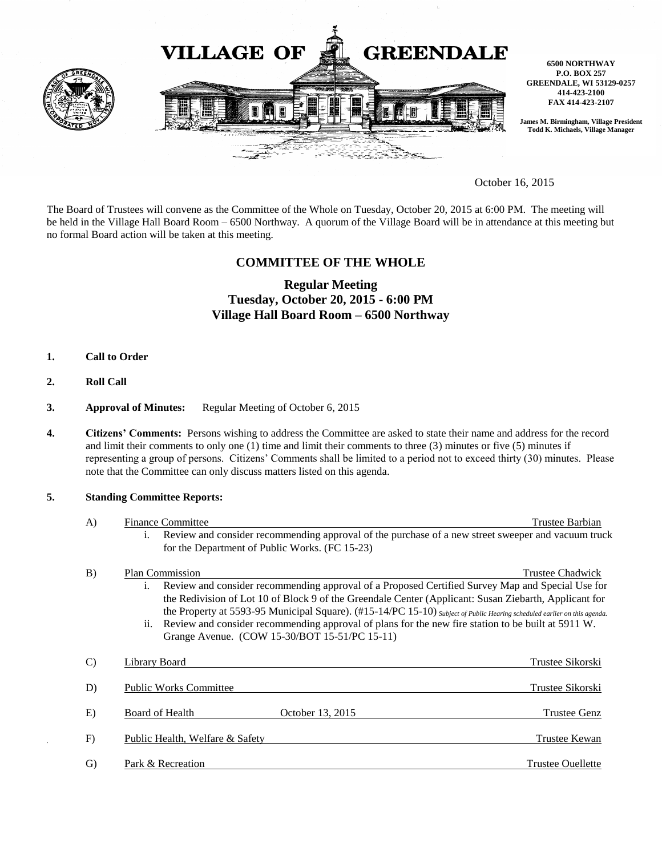

October 16, 2015

The Board of Trustees will convene as the Committee of the Whole on Tuesday, October 20, 2015 at 6:00 PM. The meeting will be held in the Village Hall Board Room – 6500 Northway. A quorum of the Village Board will be in attendance at this meeting but no formal Board action will be taken at this meeting.

## **COMMITTEE OF THE WHOLE**

# **Regular Meeting Tuesday, October 20, 2015 - 6:00 PM Village Hall Board Room – 6500 Northway**

- **1. Call to Order**
- **2. Roll Call**
- **3. Approval of Minutes:** Regular Meeting of October 6, 2015
- **4. Citizens' Comments:** Persons wishing to address the Committee are asked to state their name and address for the record and limit their comments to only one (1) time and limit their comments to three (3) minutes or five (5) minutes if representing a group of persons. Citizens' Comments shall be limited to a period not to exceed thirty (30) minutes. Please note that the Committee can only discuss matters listed on this agenda.

#### **5. Standing Committee Reports:**

| $\mathbf{A}$  | <b>Finance Committee</b>                                                                                                                                                                                                                                                                                                                                                                                                                                                                                                         | Trustee Barbian          |
|---------------|----------------------------------------------------------------------------------------------------------------------------------------------------------------------------------------------------------------------------------------------------------------------------------------------------------------------------------------------------------------------------------------------------------------------------------------------------------------------------------------------------------------------------------|--------------------------|
|               | Review and consider recommending approval of the purchase of a new street sweeper and vacuum truck<br>İ.<br>for the Department of Public Works. (FC 15-23)                                                                                                                                                                                                                                                                                                                                                                       |                          |
| B)            | <b>Plan Commission</b><br>Review and consider recommending approval of a Proposed Certified Survey Map and Special Use for<br>i.<br>the Redivision of Lot 10 of Block 9 of the Greendale Center (Applicant: Susan Ziebarth, Applicant for<br>the Property at 5593-95 Municipal Square). (#15-14/PC 15-10) Subject of Public Hearing scheduled earlier on this agenda.<br>ii. Review and consider recommending approval of plans for the new fire station to be built at 5911 W.<br>Grange Avenue. (COW 15-30/BOT 15-51/PC 15-11) | <b>Trustee Chadwick</b>  |
| $\mathcal{C}$ | Library Board                                                                                                                                                                                                                                                                                                                                                                                                                                                                                                                    | Trustee Sikorski         |
| D)            | <b>Public Works Committee</b>                                                                                                                                                                                                                                                                                                                                                                                                                                                                                                    | Trustee Sikorski         |
| E)            | Board of Health<br>October 13, 2015                                                                                                                                                                                                                                                                                                                                                                                                                                                                                              | <b>Trustee Genz</b>      |
| F)            | Public Health, Welfare & Safety                                                                                                                                                                                                                                                                                                                                                                                                                                                                                                  | Trustee Kewan            |
| $\rm G$       | Park & Recreation                                                                                                                                                                                                                                                                                                                                                                                                                                                                                                                | <b>Trustee Ouellette</b> |